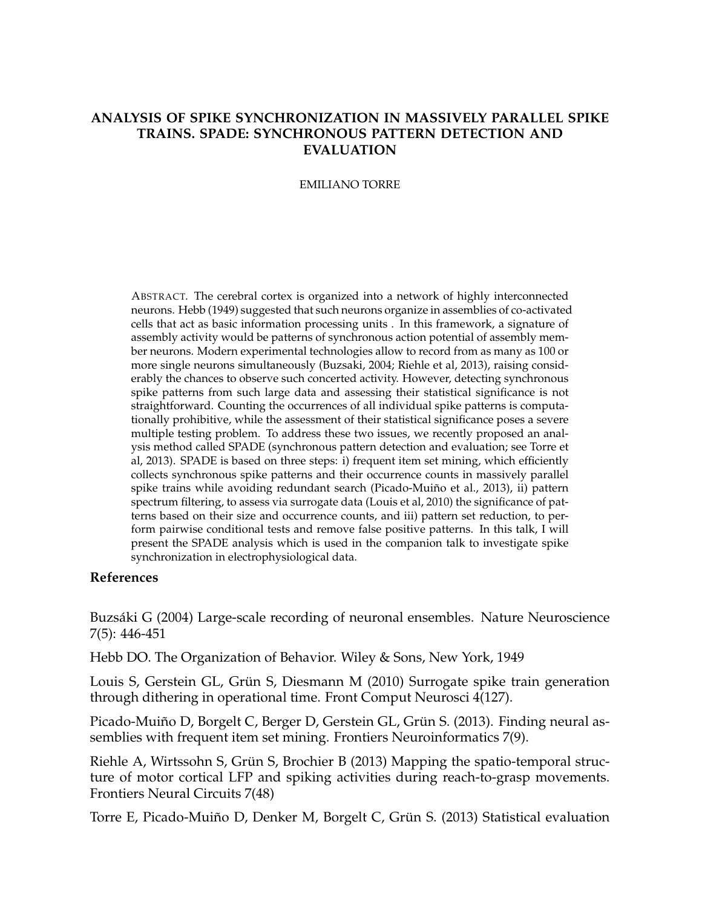## **ANALYSIS OF SPIKE SYNCHRONIZATION IN MASSIVELY PARALLEL SPIKE TRAINS. SPADE: SYNCHRONOUS PATTERN DETECTION AND EVALUATION**

## EMILIANO TORRE

ABSTRACT. The cerebral cortex is organized into a network of highly interconnected neurons. Hebb (1949) suggested that such neurons organize in assemblies of co-activated cells that act as basic information processing units . In this framework, a signature of assembly activity would be patterns of synchronous action potential of assembly member neurons. Modern experimental technologies allow to record from as many as 100 or more single neurons simultaneously (Buzsaki, 2004; Riehle et al, 2013), raising considerably the chances to observe such concerted activity. However, detecting synchronous spike patterns from such large data and assessing their statistical significance is not straightforward. Counting the occurrences of all individual spike patterns is computationally prohibitive, while the assessment of their statistical significance poses a severe multiple testing problem. To address these two issues, we recently proposed an analysis method called SPADE (synchronous pattern detection and evaluation; see Torre et al, 2013). SPADE is based on three steps: i) frequent item set mining, which efficiently collects synchronous spike patterns and their occurrence counts in massively parallel spike trains while avoiding redundant search (Picado-Muiño et al., 2013), ii) pattern spectrum filtering, to assess via surrogate data (Louis et al, 2010) the significance of patterns based on their size and occurrence counts, and iii) pattern set reduction, to perform pairwise conditional tests and remove false positive patterns. In this talk, I will present the SPADE analysis which is used in the companion talk to investigate spike synchronization in electrophysiological data.

## **References**

Buzsaki G (2004) Large-scale recording of neuronal ensembles. Nature Neuroscience ´ 7(5): 446-451

Hebb DO. The Organization of Behavior. Wiley & Sons, New York, 1949

Louis S, Gerstein GL, Grün S, Diesmann M (2010) Surrogate spike train generation through dithering in operational time. Front Comput Neurosci 4(127).

Picado-Muiño D, Borgelt C, Berger D, Gerstein GL, Grün S. (2013). Finding neural assemblies with frequent item set mining. Frontiers Neuroinformatics 7(9).

Riehle A, Wirtssohn S, Grün S, Brochier B (2013) Mapping the spatio-temporal structure of motor cortical LFP and spiking activities during reach-to-grasp movements. Frontiers Neural Circuits 7(48)

Torre E, Picado-Muiño D, Denker M, Borgelt C, Grün S. (2013) Statistical evaluation